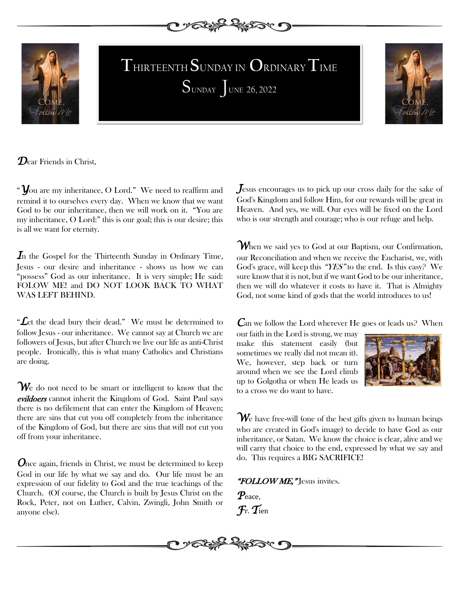



**SUNDAY** JUNE 26, 2022 **T**HIRTEENTH **S**UNDAY IN **O**RDINARY**T**IME



*D*ear Friends in Christ,

"*Y*ou are my inheritance, O Lord." We need to reaffirm and remind it to ourselves every day. When we know that we want God to be our inheritance, then we will work on it. "You are my inheritance, O Lord:" this is our goal; this is our desire; this is all we want for eternity.

*I*n the Gospel for the Thirteenth Sunday in Ordinary Time, Jesus - our desire and inheritance - shows us how we can "possess" God as our inheritance. It is very simple; He said: FOLOW ME! and DO NOT LOOK BACK TO WHAT WAS LEFT BEHIND.

"*L*et the dead bury their dead." We must be determined to follow Jesus - our inheritance. We cannot say at Church we are followers of Jesus, but after Church we live our life as anti-Christ people. Ironically, this is what many Catholics and Christians are doing.

We do not need to be smart or intelligent to know that the evildoers cannot inherit the Kingdom of God. Saint Paul says there is no defilement that can enter the Kingdom of Heaven; there are sins that cut you off completely from the inheritance of the Kingdom of God, but there are sins that will not cut you off from your inheritance.

*Once again, friends in Christ, we must be determined to keep* God in our life by what we say and do. Our life must be an expression of our fidelity to God and the true teachings of the Church. (Of course, the Church is built by Jesus Christ on the Rock, Peter, not on Luther, Calvin, Zwingli, John Smith or anyone else).

*J*esus encourages us to pick up our cross daily for the sake of God's Kingdom and follow Him, for our rewards will be great in Heaven. And yes, we will. Our eyes will be fixed on the Lord who is our strength and courage; who is our refuge and help.

*W*hen we said yes to God at our Baptism, our Confirmation, our Reconciliation and when we receive the Eucharist, we, with God's grace, will keep this " $YES"$  to the end. Is this easy? We sure know that it is not, but if we want God to be our inheritance, then we will do whatever it costs to have it. That is Almighty God, not some kind of gods that the world introduces to us!

*C*an we follow the Lord wherever He goes or leads us? When

our faith in the Lord is strong, we may make this statement easily (but sometimes we really did not mean it). We, however, step back or turn around when we see the Lord climb up to Golgotha or when He leads us to a cross we do want to have.



*W*e have free-will (one of the best gifts given to human beings who are created in God's image) to decide to have God as our inheritance, or Satan. We know the choice is clear, alive and we will carry that choice to the end, expressed by what we say and do. This requires a BIG SACRIFICE!

"FOLLOW ME," Jesus invites.

*P*eace, *F*r. *T*ien